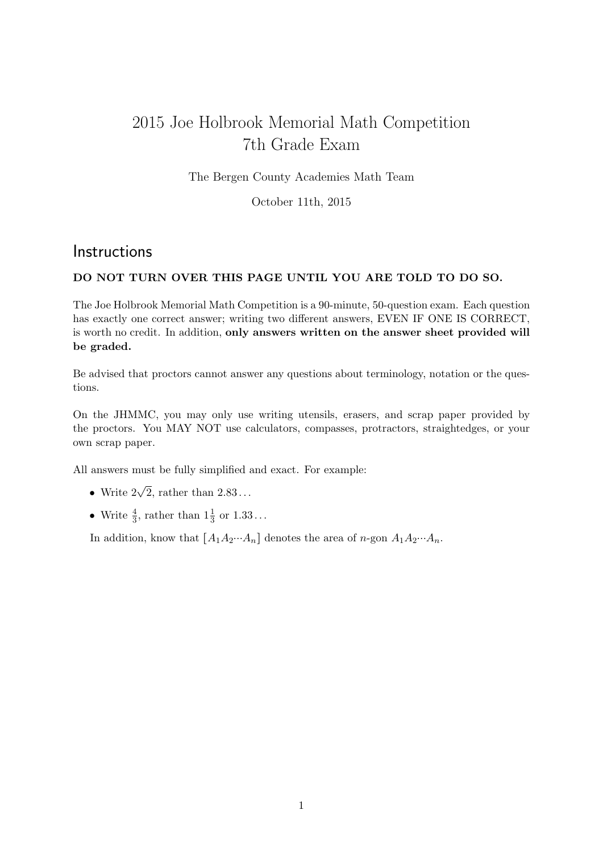## 2015 Joe Holbrook Memorial Math Competition 7th Grade Exam

The Bergen County Academies Math Team

October 11th, 2015

## **Instructions**

## DO NOT TURN OVER THIS PAGE UNTIL YOU ARE TOLD TO DO SO.

The Joe Holbrook Memorial Math Competition is a 90-minute, 50-question exam. Each question has exactly one correct answer; writing two different answers, EVEN IF ONE IS CORRECT, is worth no credit. In addition, only answers written on the answer sheet provided will be graded.

Be advised that proctors cannot answer any questions about terminology, notation or the questions.

On the JHMMC, you may only use writing utensils, erasers, and scrap paper provided by the proctors. You MAY NOT use calculators, compasses, protractors, straightedges, or your own scrap paper.

All answers must be fully simplified and exact. For example:

- Write  $2\sqrt{2}$ , rather than  $2.83...$
- Write  $\frac{4}{3}$ , rather than  $1\frac{1}{3}$  or  $1.33...$

In addition, know that  $[A_1A_2\cdots A_n]$  denotes the area of n-gon  $A_1A_2\cdots A_n$ .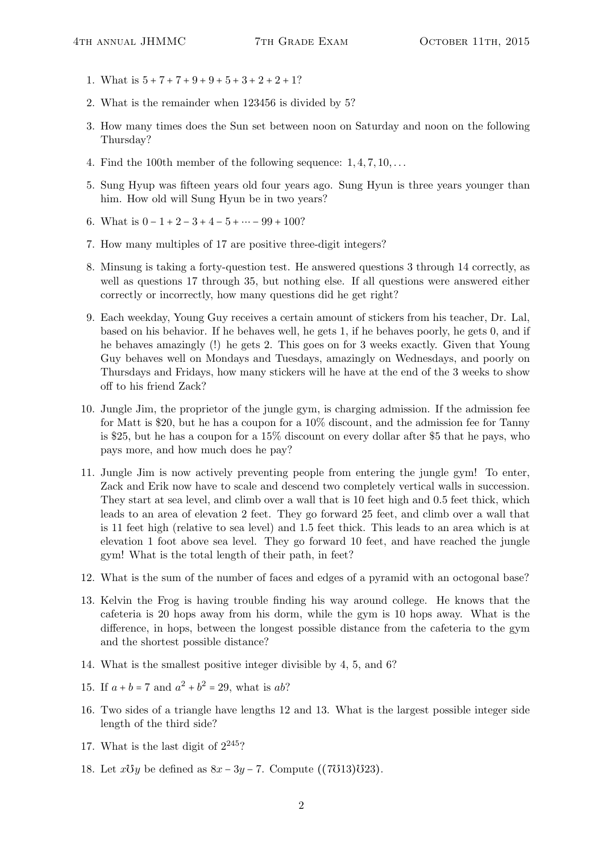- 1. What is  $5 + 7 + 7 + 9 + 9 + 5 + 3 + 2 + 2 + 1$ ?
- 2. What is the remainder when 123456 is divided by 5?
- 3. How many times does the Sun set between noon on Saturday and noon on the following Thursday?
- 4. Find the 100th member of the following sequence:  $1, 4, 7, 10, \ldots$
- 5. Sung Hyup was fifteen years old four years ago. Sung Hyun is three years younger than him. How old will Sung Hyun be in two years?
- 6. What is  $0 1 + 2 3 + 4 5 + \cdots 99 + 100$ ?
- 7. How many multiples of 17 are positive three-digit integers?
- 8. Minsung is taking a forty-question test. He answered questions 3 through 14 correctly, as well as questions 17 through 35, but nothing else. If all questions were answered either correctly or incorrectly, how many questions did he get right?
- 9. Each weekday, Young Guy receives a certain amount of stickers from his teacher, Dr. Lal, based on his behavior. If he behaves well, he gets 1, if he behaves poorly, he gets 0, and if he behaves amazingly (!) he gets 2. This goes on for 3 weeks exactly. Given that Young Guy behaves well on Mondays and Tuesdays, amazingly on Wednesdays, and poorly on Thursdays and Fridays, how many stickers will he have at the end of the 3 weeks to show off to his friend Zack?
- 10. Jungle Jim, the proprietor of the jungle gym, is charging admission. If the admission fee for Matt is \$20, but he has a coupon for a 10% discount, and the admission fee for Tanny is \$25, but he has a coupon for a 15% discount on every dollar after \$5 that he pays, who pays more, and how much does he pay?
- 11. Jungle Jim is now actively preventing people from entering the jungle gym! To enter, Zack and Erik now have to scale and descend two completely vertical walls in succession. They start at sea level, and climb over a wall that is 10 feet high and 0.5 feet thick, which leads to an area of elevation 2 feet. They go forward 25 feet, and climb over a wall that is 11 feet high (relative to sea level) and 1.5 feet thick. This leads to an area which is at elevation 1 foot above sea level. They go forward 10 feet, and have reached the jungle gym! What is the total length of their path, in feet?
- 12. What is the sum of the number of faces and edges of a pyramid with an octogonal base?
- 13. Kelvin the Frog is having trouble finding his way around college. He knows that the cafeteria is 20 hops away from his dorm, while the gym is 10 hops away. What is the difference, in hops, between the longest possible distance from the cafeteria to the gym and the shortest possible distance?
- 14. What is the smallest positive integer divisible by 4, 5, and 6?
- 15. If  $a + b = 7$  and  $a^2 + b^2 = 29$ , what is ab?
- 16. Two sides of a triangle have lengths 12 and 13. What is the largest possible integer side length of the third side?
- 17. What is the last digit of  $2^{245}$ ?
- 18. Let  $x \mathcal{O}y$  be defined as  $8x 3y 7$ . Compute ((7013)023).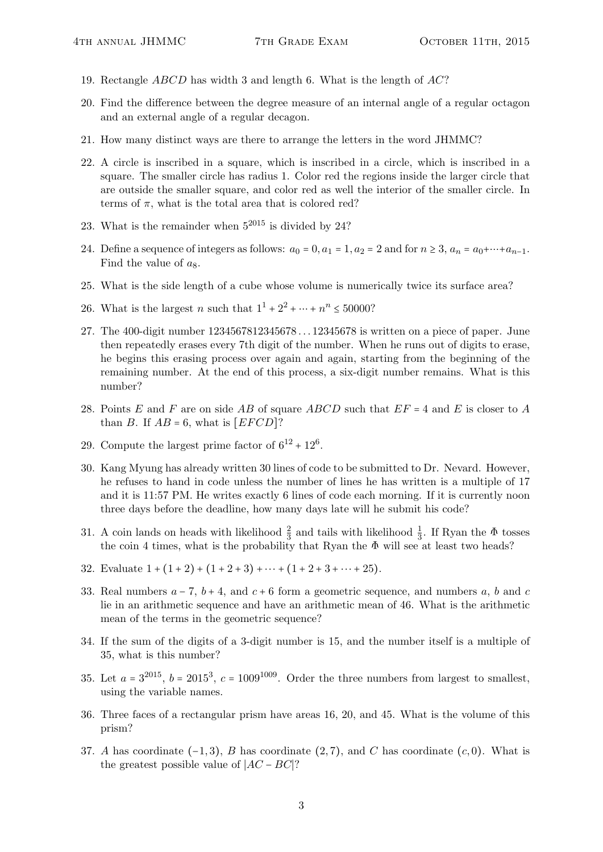- 19. Rectangle ABCD has width 3 and length 6. What is the length of AC?
- 20. Find the difference between the degree measure of an internal angle of a regular octagon and an external angle of a regular decagon.
- 21. How many distinct ways are there to arrange the letters in the word JHMMC?
- 22. A circle is inscribed in a square, which is inscribed in a circle, which is inscribed in a square. The smaller circle has radius 1. Color red the regions inside the larger circle that are outside the smaller square, and color red as well the interior of the smaller circle. In terms of  $\pi$ , what is the total area that is colored red?
- 23. What is the remainder when  $5^{2015}$  is divided by 24?
- 24. Define a sequence of integers as follows:  $a_0 = 0$ ,  $a_1 = 1$ ,  $a_2 = 2$  and for  $n \ge 3$ ,  $a_n = a_0 + \cdots + a_{n-1}$ . Find the value of  $a_8$ .
- 25. What is the side length of a cube whose volume is numerically twice its surface area?
- 26. What is the largest *n* such that  $1^{1} + 2^{2} + \cdots + n^{n} \le 50000$ ?
- 27. The 400-digit number 1234567812345678 . . . 12345678 is written on a piece of paper. June then repeatedly erases every 7th digit of the number. When he runs out of digits to erase, he begins this erasing process over again and again, starting from the beginning of the remaining number. At the end of this process, a six-digit number remains. What is this number?
- 28. Points E and F are on side AB of square ABCD such that  $EF = 4$  and E is closer to A than B. If  $AB = 6$ , what is [EFCD]?
- 29. Compute the largest prime factor of  $6^{12} + 12^6$ .
- 30. Kang Myung has already written 30 lines of code to be submitted to Dr. Nevard. However, he refuses to hand in code unless the number of lines he has written is a multiple of 17 and it is 11:57 PM. He writes exactly 6 lines of code each morning. If it is currently noon three days before the deadline, how many days late will he submit his code?
- 31. A coin lands on heads with likelihood  $\frac{2}{3}$  and tails with likelihood  $\frac{1}{3}$ . If Ryan the  $\Phi$  tosses the coin 4 times, what is the probability that Ryan the  $\Phi$  will see at least two heads?
- 32. Evaluate  $1 + (1 + 2) + (1 + 2 + 3) + \cdots + (1 + 2 + 3 + \cdots + 25)$ .
- 33. Real numbers  $a 7$ ,  $b + 4$ , and  $c + 6$  form a geometric sequence, and numbers a, b and c lie in an arithmetic sequence and have an arithmetic mean of 46. What is the arithmetic mean of the terms in the geometric sequence?
- 34. If the sum of the digits of a 3-digit number is 15, and the number itself is a multiple of 35, what is this number?
- 35. Let  $a = 3^{2015}$ ,  $b = 2015^3$ ,  $c = 1009^{1009}$ . Order the three numbers from largest to smallest, using the variable names.
- 36. Three faces of a rectangular prism have areas 16, 20, and 45. What is the volume of this prism?
- 37. A has coordinate  $(-1,3)$ , B has coordinate  $(2,7)$ , and C has coordinate  $(c,0)$ . What is the greatest possible value of  $|AC - BC|$ ?